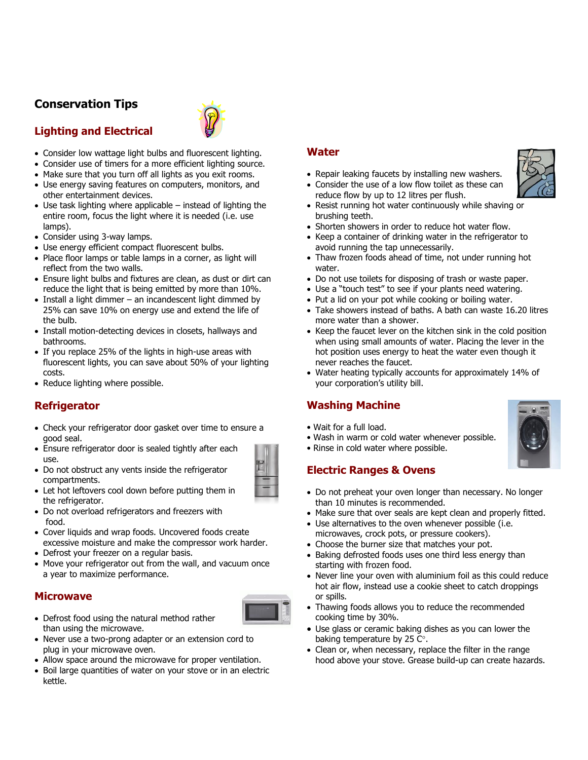# **Conservation Tips**



### **Lighting and Electrical**

- Consider low wattage light bulbs and fluorescent lighting.
- Consider use of timers for a more efficient lighting source.
- Make sure that you turn off all lights as you exit rooms.
- Use energy saving features on computers, monitors, and other entertainment devices.
- Use task lighting where applicable instead of lighting the entire room, focus the light where it is needed (i.e. use lamps).
- Consider using 3-way lamps.
- Use energy efficient compact fluorescent bulbs.
- Place floor lamps or table lamps in a corner, as light will reflect from the two walls.
- Ensure light bulbs and fixtures are clean, as dust or dirt can reduce the light that is being emitted by more than 10%.
- Install a light dimmer an incandescent light dimmed by 25% can save 10% on energy use and extend the life of the bulb.
- Install motion-detecting devices in closets, hallways and bathrooms.
- If you replace 25% of the lights in high-use areas with fluorescent lights, you can save about 50% of your lighting costs.
- Reduce lighting where possible.

## **Refrigerator**

- Check your refrigerator door gasket over time to ensure a good seal.
- Ensure refrigerator door is sealed tightly after each use.
- Do not obstruct any vents inside the refrigerator compartments.



- Let hot leftovers cool down before putting them in the refrigerator.
- Do not overload refrigerators and freezers with food.
- Cover liquids and wrap foods. Uncovered foods create excessive moisture and make the compressor work harder.
- Defrost your freezer on a regular basis.
- Move your refrigerator out from the wall, and vacuum once a year to maximize performance.

#### **Microwave**



- Defrost food using the natural method rather than using the microwave.
- Never use a two-prong adapter or an extension cord to plug in your microwave oven.
- Allow space around the microwave for proper ventilation.
- Boil large quantities of water on your stove or in an electric kettle.

#### **Water**

- Repair leaking faucets by installing new washers.
- Consider the use of a low flow toilet as these can reduce flow by up to 12 litres per flush.
- Resist running hot water continuously while shaving or brushing teeth.
- Shorten showers in order to reduce hot water flow.
- Keep a container of drinking water in the refrigerator to avoid running the tap unnecessarily.
- Thaw frozen foods ahead of time, not under running hot water.
- Do not use toilets for disposing of trash or waste paper.
- Use a "touch test" to see if your plants need watering.
- Put a lid on your pot while cooking or boiling water.
- Take showers instead of baths. A bath can waste 16.20 litres more water than a shower.
- Keep the faucet lever on the kitchen sink in the cold position when using small amounts of water. Placing the lever in the hot position uses energy to heat the water even though it never reaches the faucet.
- Water heating typically accounts for approximately 14% of your corporation's utility bill.

#### **Washing Machine**

- Wait for a full load.
- Wash in warm or cold water whenever possible.
- Rinse in cold water where possible.

## **Electric Ranges & Ovens**

- Do not preheat your oven longer than necessary. No longer than 10 minutes is recommended.
- Make sure that over seals are kept clean and properly fitted.
- Use alternatives to the oven whenever possible (i.e. microwaves, crock pots, or pressure cookers).
- Choose the burner size that matches your pot.
- Baking defrosted foods uses one third less energy than starting with frozen food.
- Never line your oven with aluminium foil as this could reduce hot air flow, instead use a cookie sheet to catch droppings or spills.
- Thawing foods allows you to reduce the recommended cooking time by 30%.
- Use glass or ceramic baking dishes as you can lower the baking temperature by 25  $C^{\circ}$ .
- Clean or, when necessary, replace the filter in the range hood above your stove. Grease build-up can create hazards.

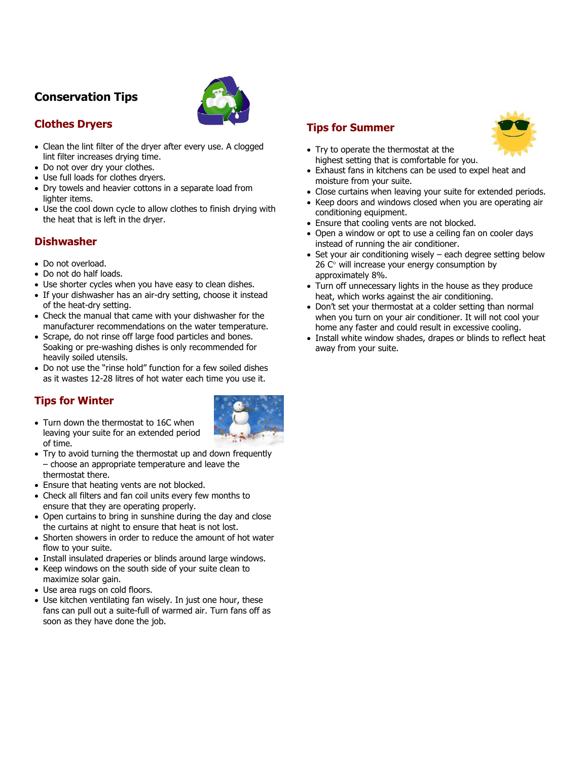## **Conservation Tips**



## **Clothes Dryers**

- Clean the lint filter of the dryer after every use. A clogged lint filter increases drying time.
- Do not over dry your clothes.
- Use full loads for clothes dryers.
- Dry towels and heavier cottons in a separate load from lighter items.
- Use the cool down cycle to allow clothes to finish drying with the heat that is left in the dryer.

## **Dishwasher**

- Do not overload.
- Do not do half loads.
- Use shorter cycles when you have easy to clean dishes.
- If your dishwasher has an air-dry setting, choose it instead of the heat-dry setting.
- Check the manual that came with your dishwasher for the manufacturer recommendations on the water temperature.
- Scrape, do not rinse off large food particles and bones. Soaking or pre-washing dishes is only recommended for heavily soiled utensils.
- Do not use the "rinse hold" function for a few soiled dishes as it wastes 12-28 litres of hot water each time you use it.

## **Tips for Winter**

• Turn down the thermostat to 16C when leaving your suite for an extended period of time.



- Try to avoid turning the thermostat up and down frequently – choose an appropriate temperature and leave the thermostat there.
- Ensure that heating vents are not blocked.
- Check all filters and fan coil units every few months to ensure that they are operating properly.
- Open curtains to bring in sunshine during the day and close the curtains at night to ensure that heat is not lost.
- Shorten showers in order to reduce the amount of hot water flow to your suite.
- Install insulated draperies or blinds around large windows.
- Keep windows on the south side of your suite clean to maximize solar gain.
- Use area rugs on cold floors.
- Use kitchen ventilating fan wisely. In just one hour, these fans can pull out a suite-full of warmed air. Turn fans off as soon as they have done the job.

### **Tips for Summer**



- Try to operate the thermostat at the highest setting that is comfortable for you.
- Exhaust fans in kitchens can be used to expel heat and moisture from your suite.
- Close curtains when leaving your suite for extended periods.
- Keep doors and windows closed when you are operating air conditioning equipment.
- Ensure that cooling vents are not blocked.
- Open a window or opt to use a ceiling fan on cooler days instead of running the air conditioner.
- Set your air conditioning wisely each degree setting below  $26$  C $^{\circ}$  will increase your energy consumption by approximately 8%.
- Turn off unnecessary lights in the house as they produce heat, which works against the air conditioning.
- Don't set your thermostat at a colder setting than normal when you turn on your air conditioner. It will not cool your home any faster and could result in excessive cooling.
- Install white window shades, drapes or blinds to reflect heat away from your suite.